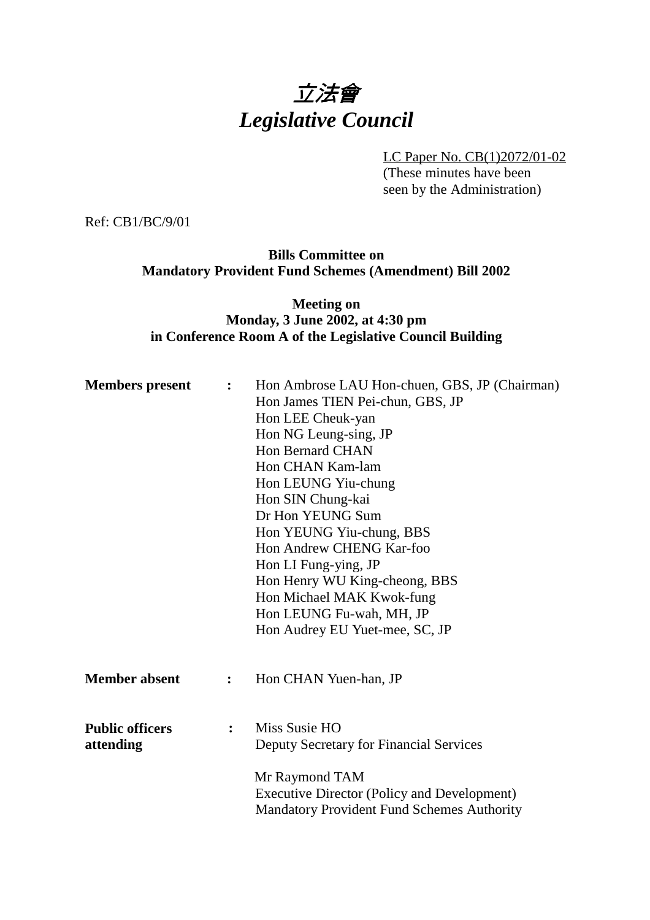# 立法會 *Legislative Council*

LC Paper No. CB(1)2072/01-02 (These minutes have been seen by the Administration)

Ref: CB1/BC/9/01

## **Bills Committee on Mandatory Provident Fund Schemes (Amendment) Bill 2002**

## **Meeting on Monday, 3 June 2002, at 4:30 pm in Conference Room A of the Legislative Council Building**

| <b>Members</b> present              | $\ddot{\cdot}$ | Hon Ambrose LAU Hon-chuen, GBS, JP (Chairman)<br>Hon James TIEN Pei-chun, GBS, JP<br>Hon LEE Cheuk-yan<br>Hon NG Leung-sing, JP<br><b>Hon Bernard CHAN</b><br>Hon CHAN Kam-lam<br>Hon LEUNG Yiu-chung<br>Hon SIN Chung-kai<br>Dr Hon YEUNG Sum<br>Hon YEUNG Yiu-chung, BBS<br>Hon Andrew CHENG Kar-foo<br>Hon LI Fung-ying, JP<br>Hon Henry WU King-cheong, BBS<br>Hon Michael MAK Kwok-fung<br>Hon LEUNG Fu-wah, MH, JP<br>Hon Audrey EU Yuet-mee, SC, JP |
|-------------------------------------|----------------|------------------------------------------------------------------------------------------------------------------------------------------------------------------------------------------------------------------------------------------------------------------------------------------------------------------------------------------------------------------------------------------------------------------------------------------------------------|
| <b>Member absent</b>                | $\ddot{\cdot}$ | Hon CHAN Yuen-han, JP                                                                                                                                                                                                                                                                                                                                                                                                                                      |
| <b>Public officers</b><br>attending | $\ddot{\cdot}$ | Miss Susie HO<br><b>Deputy Secretary for Financial Services</b>                                                                                                                                                                                                                                                                                                                                                                                            |
|                                     |                | Mr Raymond TAM<br><b>Executive Director (Policy and Development)</b><br><b>Mandatory Provident Fund Schemes Authority</b>                                                                                                                                                                                                                                                                                                                                  |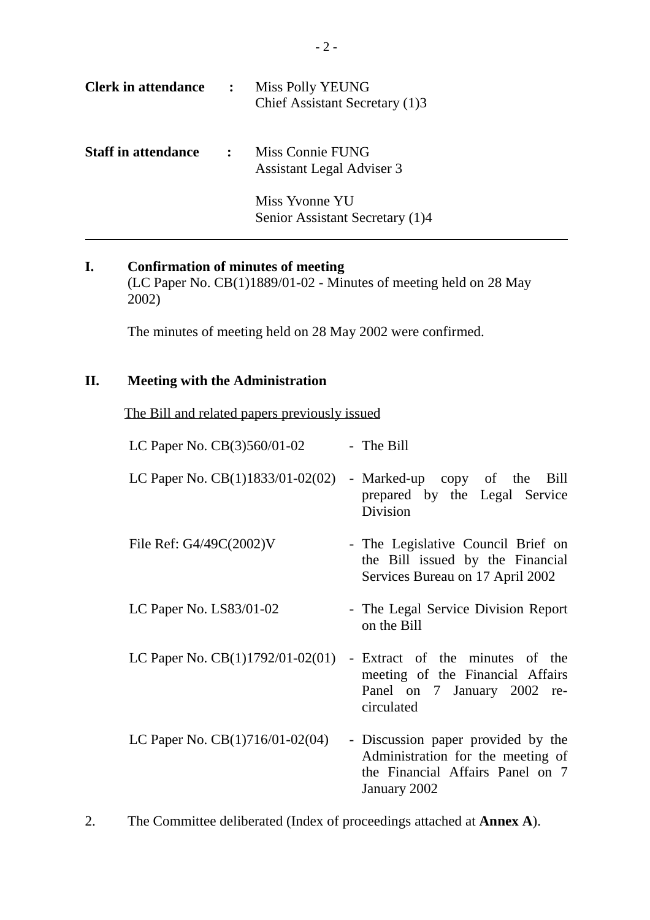| <b>Clerk in attendance</b> | $\ddot{\cdot}$ | Miss Polly YEUNG<br>Chief Assistant Secretary (1)3   |
|----------------------------|----------------|------------------------------------------------------|
| <b>Staff in attendance</b> | $\mathbf{R}$   | Miss Connie FUNG<br><b>Assistant Legal Adviser 3</b> |
|                            |                | Miss Yvonne YU<br>Senior Assistant Secretary (1)4    |

## **I. Confirmation of minutes of meeting** (LC Paper No. CB(1)1889/01-02 - Minutes of meeting held on 28 May 2002)

The minutes of meeting held on 28 May 2002 were confirmed.

## **II. Meeting with the Administration**

The Bill and related papers previously issued

| LC Paper No. CB(3)560/01-02        | - The Bill                                                                                                                  |
|------------------------------------|-----------------------------------------------------------------------------------------------------------------------------|
| LC Paper No. $CB(1)1833/01-02(02)$ | - Marked-up copy of the Bill<br>prepared by the Legal Service<br>Division                                                   |
| File Ref: $G4/49C(2002)V$          | - The Legislative Council Brief on<br>the Bill issued by the Financial<br>Services Bureau on 17 April 2002                  |
| LC Paper No. $LS83/01-02$          | - The Legal Service Division Report<br>on the Bill                                                                          |
| LC Paper No. $CB(1)1792/01-02(01)$ | - Extract of the minutes of the<br>meeting of the Financial Affairs<br>Panel on 7 January 2002 re-<br>circulated            |
| LC Paper No. $CB(1)716/01-02(04)$  | - Discussion paper provided by the<br>Administration for the meeting of<br>the Financial Affairs Panel on 7<br>January 2002 |

2. The Committee deliberated (Index of proceedings attached at **Annex A**).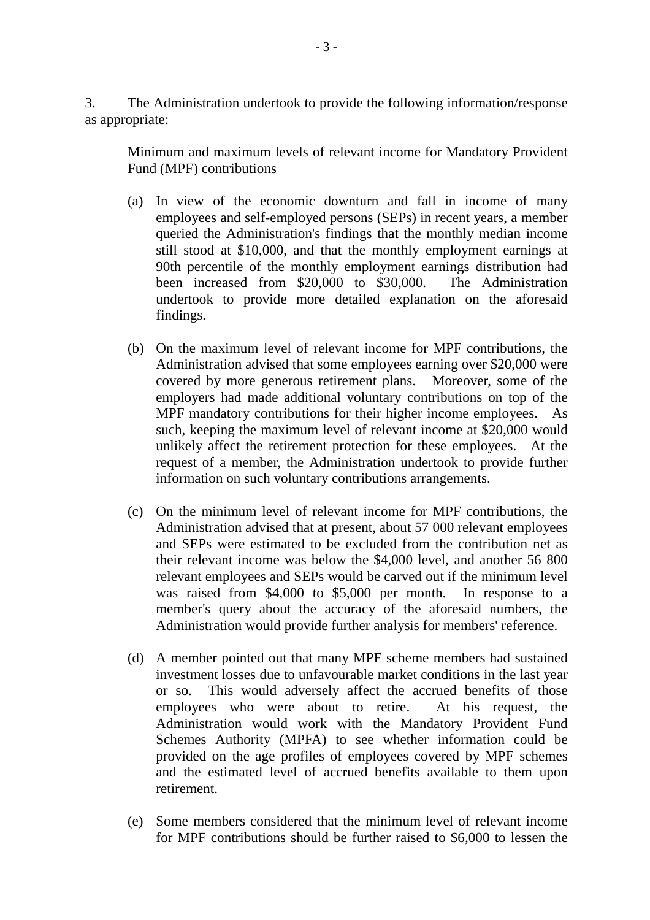3. The Administration undertook to provide the following information/response as appropriate:

Minimum and maximum levels of relevant income for Mandatory Provident Fund (MPF) contributions

- (a) In view of the economic downturn and fall in income of many employees and self-employed persons (SEPs) in recent years, a member queried the Administration's findings that the monthly median income still stood at \$10,000, and that the monthly employment earnings at 90th percentile of the monthly employment earnings distribution had been increased from \$20,000 to \$30,000. The Administration undertook to provide more detailed explanation on the aforesaid findings.
- (b) On the maximum level of relevant income for MPF contributions, the Administration advised that some employees earning over \$20,000 were covered by more generous retirement plans. Moreover, some of the employers had made additional voluntary contributions on top of the MPF mandatory contributions for their higher income employees. As such, keeping the maximum level of relevant income at \$20,000 would unlikely affect the retirement protection for these employees. At the request of a member, the Administration undertook to provide further information on such voluntary contributions arrangements.
- (c) On the minimum level of relevant income for MPF contributions, the Administration advised that at present, about 57 000 relevant employees and SEPs were estimated to be excluded from the contribution net as their relevant income was below the \$4,000 level, and another 56 800 relevant employees and SEPs would be carved out if the minimum level was raised from \$4,000 to \$5,000 per month. In response to a member's query about the accuracy of the aforesaid numbers, the Administration would provide further analysis for members' reference.
- (d) A member pointed out that many MPF scheme members had sustained investment losses due to unfavourable market conditions in the last year or so. This would adversely affect the accrued benefits of those employees who were about to retire. At his request, the Administration would work with the Mandatory Provident Fund Schemes Authority (MPFA) to see whether information could be provided on the age profiles of employees covered by MPF schemes and the estimated level of accrued benefits available to them upon retirement.
- (e) Some members considered that the minimum level of relevant income for MPF contributions should be further raised to \$6,000 to lessen the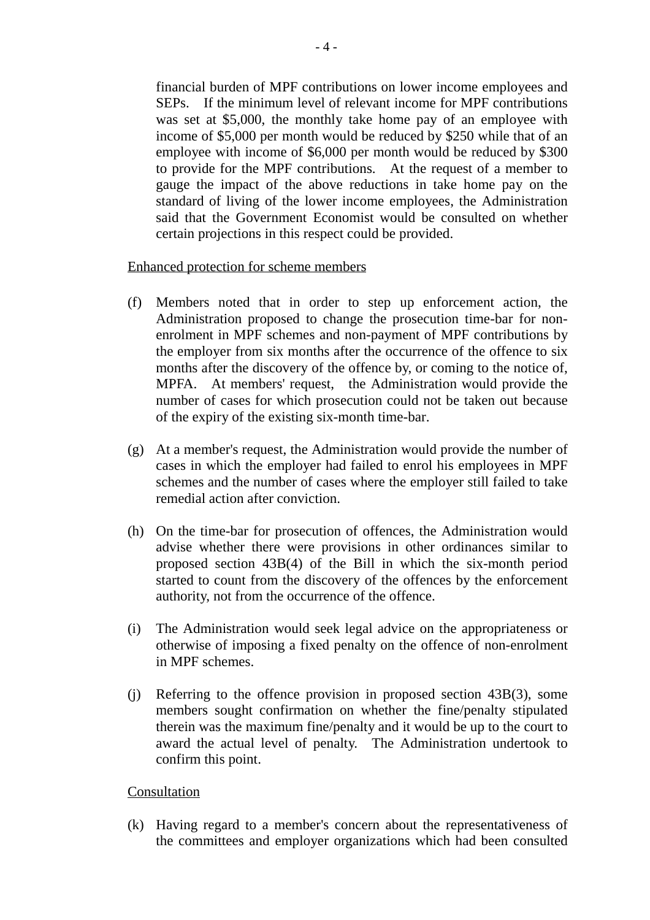financial burden of MPF contributions on lower income employees and SEPs. If the minimum level of relevant income for MPF contributions was set at \$5,000, the monthly take home pay of an employee with income of \$5,000 per month would be reduced by \$250 while that of an employee with income of \$6,000 per month would be reduced by \$300 to provide for the MPF contributions. At the request of a member to gauge the impact of the above reductions in take home pay on the standard of living of the lower income employees, the Administration said that the Government Economist would be consulted on whether certain projections in this respect could be provided.

Enhanced protection for scheme members

- (f) Members noted that in order to step up enforcement action, the Administration proposed to change the prosecution time-bar for nonenrolment in MPF schemes and non-payment of MPF contributions by the employer from six months after the occurrence of the offence to six months after the discovery of the offence by, or coming to the notice of, MPFA. At members' request, the Administration would provide the number of cases for which prosecution could not be taken out because of the expiry of the existing six-month time-bar.
- (g) At a member's request, the Administration would provide the number of cases in which the employer had failed to enrol his employees in MPF schemes and the number of cases where the employer still failed to take remedial action after conviction.
- (h) On the time-bar for prosecution of offences, the Administration would advise whether there were provisions in other ordinances similar to proposed section 43B(4) of the Bill in which the six-month period started to count from the discovery of the offences by the enforcement authority, not from the occurrence of the offence.
- (i) The Administration would seek legal advice on the appropriateness or otherwise of imposing a fixed penalty on the offence of non-enrolment in MPF schemes.
- (j) Referring to the offence provision in proposed section 43B(3), some members sought confirmation on whether the fine/penalty stipulated therein was the maximum fine/penalty and it would be up to the court to award the actual level of penalty. The Administration undertook to confirm this point.

## Consultation

(k) Having regard to a member's concern about the representativeness of the committees and employer organizations which had been consulted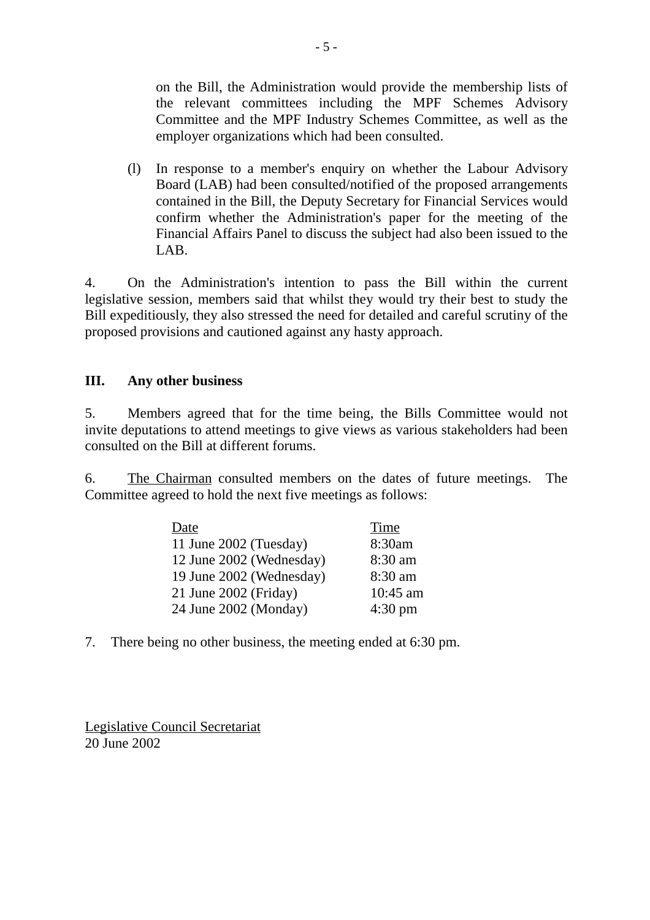on the Bill, the Administration would provide the membership lists of the relevant committees including the MPF Schemes Advisory Committee and the MPF Industry Schemes Committee, as well as the employer organizations which had been consulted.

(l) In response to a member's enquiry on whether the Labour Advisory Board (LAB) had been consulted/notified of the proposed arrangements contained in the Bill, the Deputy Secretary for Financial Services would confirm whether the Administration's paper for the meeting of the Financial Affairs Panel to discuss the subject had also been issued to the LAB.

4. On the Administration's intention to pass the Bill within the current legislative session, members said that whilst they would try their best to study the Bill expeditiously, they also stressed the need for detailed and careful scrutiny of the proposed provisions and cautioned against any hasty approach.

## **III. Any other business**

5. Members agreed that for the time being, the Bills Committee would not invite deputations to attend meetings to give views as various stakeholders had been consulted on the Bill at different forums.

6. The Chairman consulted members on the dates of future meetings. The Committee agreed to hold the next five meetings as follows:

| Date                     | <b>Time</b>       |
|--------------------------|-------------------|
| 11 June 2002 (Tuesday)   | 8:30am            |
| 12 June 2002 (Wednesday) | 8:30 am           |
| 19 June 2002 (Wednesday) | 8:30 am           |
| 21 June 2002 (Friday)    | 10:45 am          |
| 24 June 2002 (Monday)    | $4:30 \text{ pm}$ |

7. There being no other business, the meeting ended at 6:30 pm.

Legislative Council Secretariat 20 June 2002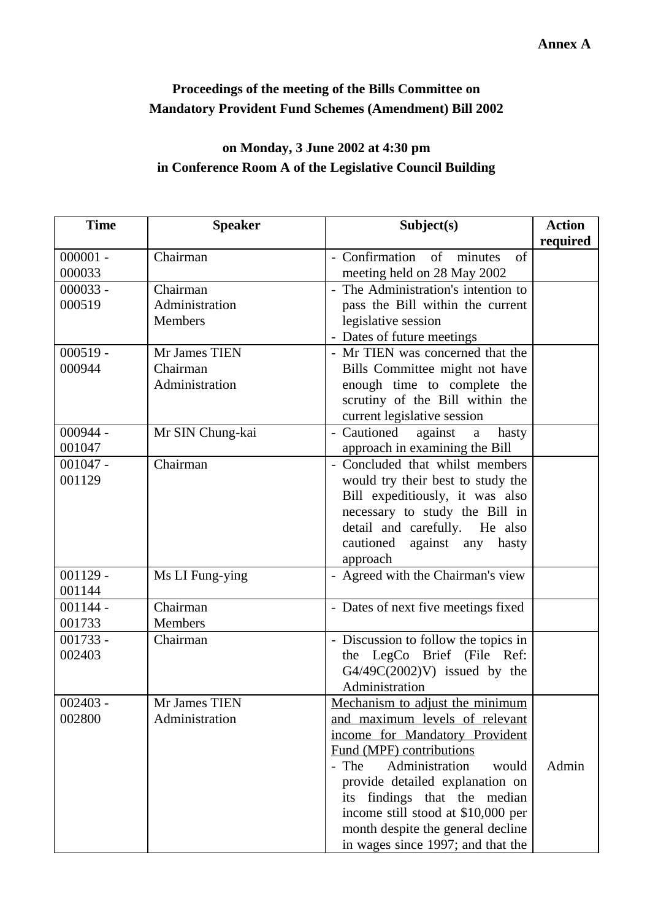## **Proceedings of the meeting of the Bills Committee on Mandatory Provident Fund Schemes (Amendment) Bill 2002**

# **on Monday, 3 June 2002 at 4:30 pm in Conference Room A of the Legislative Council Building**

| <b>Time</b> | <b>Speaker</b>   | Subject(s)                           | <b>Action</b> |
|-------------|------------------|--------------------------------------|---------------|
|             |                  |                                      | required      |
| $000001 -$  | Chairman         | - Confirmation of minutes<br>of      |               |
| 000033      |                  | meeting held on 28 May 2002          |               |
| $000033 -$  | Chairman         | - The Administration's intention to  |               |
| 000519      | Administration   | pass the Bill within the current     |               |
|             | Members          | legislative session                  |               |
|             |                  | - Dates of future meetings           |               |
| $000519 -$  | Mr James TIEN    | - Mr TIEN was concerned that the     |               |
| 000944      | Chairman         | Bills Committee might not have       |               |
|             | Administration   | enough time to complete the          |               |
|             |                  | scrutiny of the Bill within the      |               |
|             |                  | current legislative session          |               |
| $000944 -$  | Mr SIN Chung-kai | - Cautioned<br>against<br>hasty<br>a |               |
| 001047      |                  | approach in examining the Bill       |               |
| $001047 -$  | Chairman         | - Concluded that whilst members      |               |
| 001129      |                  | would try their best to study the    |               |
|             |                  | Bill expeditiously, it was also      |               |
|             |                  | necessary to study the Bill in       |               |
|             |                  | detail and carefully. He also        |               |
|             |                  | cautioned against any<br>hasty       |               |
|             |                  | approach                             |               |
| $001129 -$  | Ms LI Fung-ying  | - Agreed with the Chairman's view    |               |
| 001144      |                  |                                      |               |
| $001144 -$  | Chairman         | - Dates of next five meetings fixed  |               |
| 001733      | Members          |                                      |               |
| $001733 -$  | Chairman         | - Discussion to follow the topics in |               |
| 002403      |                  | the LegCo Brief (File Ref:           |               |
|             |                  | $G4/49C(2002)V$ issued by the        |               |
|             |                  | Administration                       |               |
| $002403 -$  | Mr James TIEN    | Mechanism to adjust the minimum      |               |
| 002800      | Administration   | and maximum levels of relevant       |               |
|             |                  | income for Mandatory Provident       |               |
|             |                  | Fund (MPF) contributions             |               |
|             |                  | Administration<br>- The<br>would     | Admin         |
|             |                  | provide detailed explanation on      |               |
|             |                  | its findings that the median         |               |
|             |                  | income still stood at \$10,000 per   |               |
|             |                  | month despite the general decline    |               |
|             |                  | in wages since 1997; and that the    |               |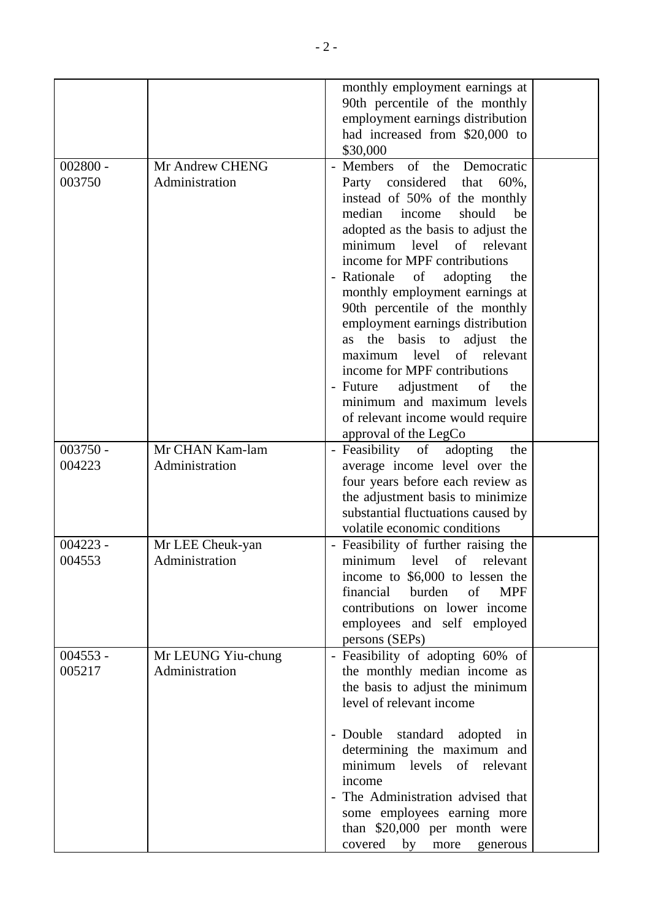|                      |                                      | monthly employment earnings at<br>90th percentile of the monthly<br>employment earnings distribution<br>had increased from \$20,000 to                                                                                                                                                                                                                                                                                                                                                                                                                                                                              |  |
|----------------------|--------------------------------------|---------------------------------------------------------------------------------------------------------------------------------------------------------------------------------------------------------------------------------------------------------------------------------------------------------------------------------------------------------------------------------------------------------------------------------------------------------------------------------------------------------------------------------------------------------------------------------------------------------------------|--|
| $002800 -$<br>003750 | Mr Andrew CHENG<br>Administration    | \$30,000<br>of the<br>- Members<br>Democratic<br>Party considered<br>60%,<br>that<br>instead of 50% of the monthly<br>median<br>should<br>income<br>be<br>adopted as the basis to adjust the<br>minimum level of relevant<br>income for MPF contributions<br>- Rationale of<br>adopting<br>the<br>monthly employment earnings at<br>90th percentile of the monthly<br>employment earnings distribution<br>the<br>basis to<br>adjust the<br>as<br>maximum level of relevant<br>income for MPF contributions<br>adjustment<br>- Future<br>of<br>the<br>minimum and maximum levels<br>of relevant income would require |  |
| $003750 -$<br>004223 | Mr CHAN Kam-lam<br>Administration    | approval of the LegCo<br>adopting<br>- Feasibility<br>of<br>the<br>average income level over the<br>four years before each review as<br>the adjustment basis to minimize<br>substantial fluctuations caused by<br>volatile economic conditions                                                                                                                                                                                                                                                                                                                                                                      |  |
| $004223 -$<br>004553 | Mr LEE Cheuk-yan<br>Administration   | - Feasibility of further raising the<br>of<br>minimum<br>level<br>relevant<br>income to \$6,000 to lessen the<br>of<br>financial<br>burden<br><b>MPF</b><br>contributions on lower income<br>employees and self employed<br>persons (SEPs)                                                                                                                                                                                                                                                                                                                                                                          |  |
| $004553 -$<br>005217 | Mr LEUNG Yiu-chung<br>Administration | - Feasibility of adopting 60% of<br>the monthly median income as<br>the basis to adjust the minimum<br>level of relevant income<br>- Double standard<br>adopted<br>in<br>determining the maximum and<br>of relevant<br>minimum levels<br>income<br>The Administration advised that<br>$\overline{\phantom{a}}$<br>some employees earning more<br>than \$20,000 per month were<br>covered<br>by<br>more<br>generous                                                                                                                                                                                                  |  |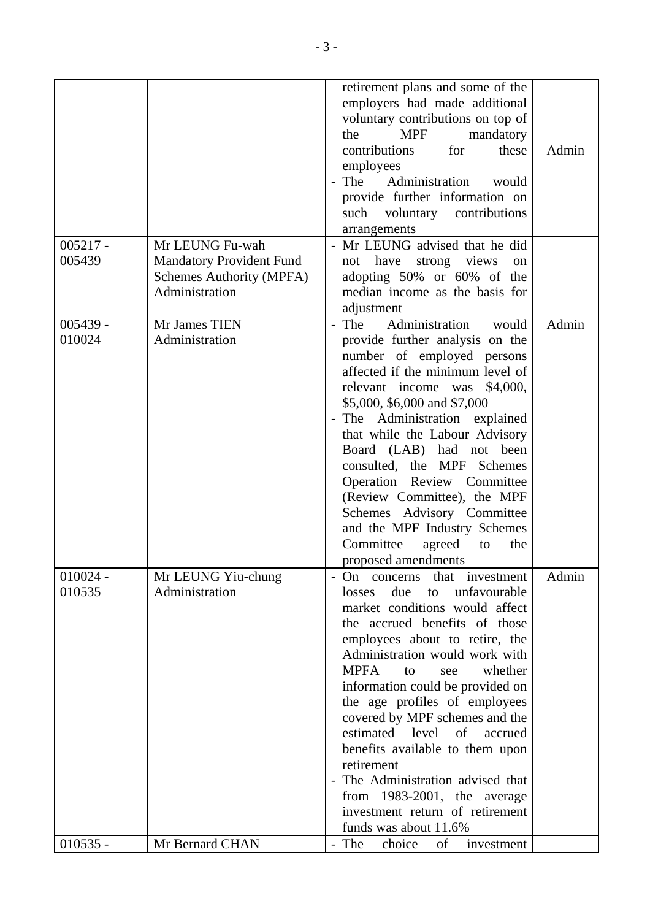|            |                                 | retirement plans and some of the                       |       |
|------------|---------------------------------|--------------------------------------------------------|-------|
|            |                                 | employers had made additional                          |       |
|            |                                 | voluntary contributions on top of                      |       |
|            |                                 | <b>MPF</b><br>the<br>mandatory                         |       |
|            |                                 | contributions<br>for<br>these                          | Admin |
|            |                                 | employees                                              |       |
|            |                                 | Administration<br>- The<br>would                       |       |
|            |                                 | provide further information on                         |       |
|            |                                 | voluntary contributions<br>such                        |       |
|            |                                 | arrangements                                           |       |
| $005217 -$ | Mr LEUNG Fu-wah                 | - Mr LEUNG advised that he did                         |       |
| 005439     | <b>Mandatory Provident Fund</b> | have<br>strong views<br>not<br>on                      |       |
|            | Schemes Authority (MPFA)        | adopting 50% or 60% of the                             |       |
|            | Administration                  | median income as the basis for                         |       |
|            |                                 | adjustment                                             |       |
| $005439 -$ | Mr James TIEN                   | Administration<br>- The<br>would                       | Admin |
| 010024     | Administration                  | provide further analysis on the                        |       |
|            |                                 | number of employed persons                             |       |
|            |                                 | affected if the minimum level of                       |       |
|            |                                 | \$4,000,<br>relevant income was                        |       |
|            |                                 | \$5,000, \$6,000 and \$7,000                           |       |
|            |                                 | - The Administration explained                         |       |
|            |                                 | that while the Labour Advisory                         |       |
|            |                                 |                                                        |       |
|            |                                 | Board (LAB) had not been<br>consulted, the MPF Schemes |       |
|            |                                 |                                                        |       |
|            |                                 | Operation Review Committee                             |       |
|            |                                 | (Review Committee), the MPF                            |       |
|            |                                 | Schemes Advisory Committee                             |       |
|            |                                 | and the MPF Industry Schemes                           |       |
|            |                                 | Committee<br>agreed<br>the<br>to                       |       |
|            |                                 | proposed amendments                                    |       |
| $010024 -$ | Mr LEUNG Yiu-chung              | that investment<br>- On concerns                       | Admin |
| 010535     | Administration                  | unfavourable<br>due<br>losses<br>to                    |       |
|            |                                 | market conditions would affect                         |       |
|            |                                 | the accrued benefits of those                          |       |
|            |                                 | employees about to retire, the                         |       |
|            |                                 | Administration would work with                         |       |
|            |                                 | <b>MPFA</b><br>whether<br>to<br>see                    |       |
|            |                                 | information could be provided on                       |       |
|            |                                 | the age profiles of employees                          |       |
|            |                                 | covered by MPF schemes and the                         |       |
|            |                                 | estimated level<br>$\sigma f$<br>accrued               |       |
|            |                                 | benefits available to them upon                        |       |
|            |                                 | retirement                                             |       |
|            |                                 | - The Administration advised that                      |       |
|            |                                 | from $1983-2001$ , the average                         |       |
|            |                                 | investment return of retirement                        |       |
|            |                                 | funds was about 11.6%                                  |       |
| $010535 -$ | Mr Bernard CHAN                 | - The<br>choice<br>of<br>investment                    |       |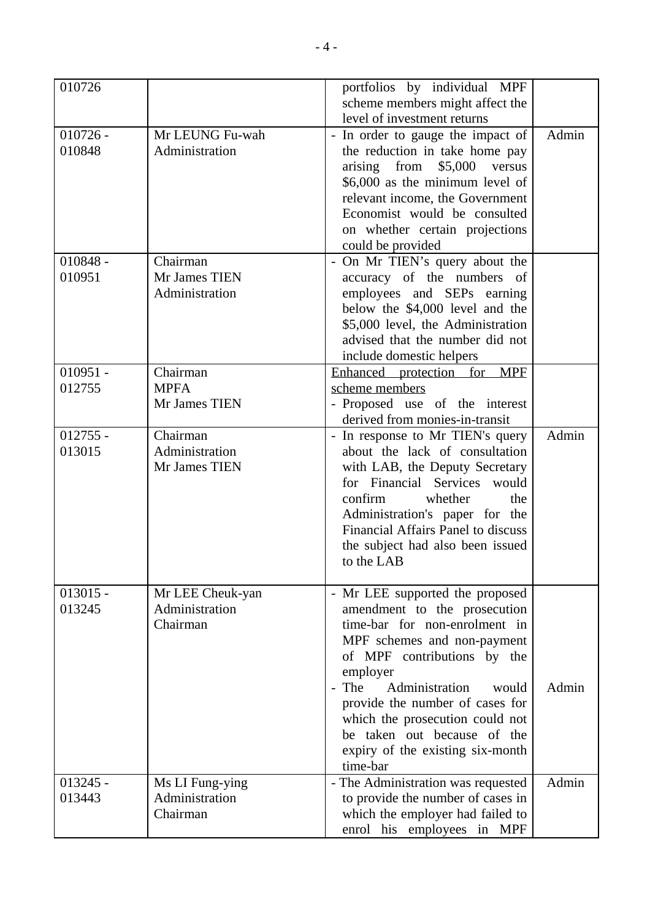| scheme members might affect the<br>level of investment returns<br>Admin<br>$010726 -$<br>Mr LEUNG Fu-wah<br>- In order to gauge the impact of<br>010848<br>Administration<br>the reduction in take home pay<br>arising from<br>\$5,000<br>versus<br>\$6,000 as the minimum level of<br>relevant income, the Government<br>Economist would be consulted<br>on whether certain projections<br>could be provided<br>$010848 -$<br>Chairman<br>- On Mr TIEN's query about the<br>010951<br>Mr James TIEN<br>accuracy of the numbers of<br>Administration<br>employees and SEPs earning<br>below the \$4,000 level and the<br>\$5,000 level, the Administration<br>advised that the number did not<br>include domestic helpers<br>Chairman<br>$010951 -$<br>Enhanced protection for MPF<br>012755<br><b>MPFA</b><br>scheme members<br>Mr James TIEN<br>- Proposed use of the interest<br>derived from monies-in-transit<br>Admin<br>$012755 -$<br>Chairman<br>- In response to Mr TIEN's query<br>Administration<br>013015<br>about the lack of consultation<br>Mr James TIEN<br>with LAB, the Deputy Secretary<br>for Financial Services would<br>confirm<br>whether<br>the<br>Administration's paper for the<br>Financial Affairs Panel to discuss<br>the subject had also been issued<br>to the LAB<br>$013015 -$<br>Mr LEE Cheuk-yan<br>- Mr LEE supported the proposed<br>Administration<br>013245<br>amendment to the prosecution<br>Chairman<br>time-bar for non-enrolment in<br>MPF schemes and non-payment<br>of MPF contributions by the<br>employer<br>Administration<br>- The<br>Admin<br>would<br>provide the number of cases for<br>which the prosecution could not<br>be taken out because of the<br>expiry of the existing six-month<br>time-bar | 010726     |                 | portfolios by individual MPF       |       |
|-------------------------------------------------------------------------------------------------------------------------------------------------------------------------------------------------------------------------------------------------------------------------------------------------------------------------------------------------------------------------------------------------------------------------------------------------------------------------------------------------------------------------------------------------------------------------------------------------------------------------------------------------------------------------------------------------------------------------------------------------------------------------------------------------------------------------------------------------------------------------------------------------------------------------------------------------------------------------------------------------------------------------------------------------------------------------------------------------------------------------------------------------------------------------------------------------------------------------------------------------------------------------------------------------------------------------------------------------------------------------------------------------------------------------------------------------------------------------------------------------------------------------------------------------------------------------------------------------------------------------------------------------------------------------------------------------------------------------------------------------------------|------------|-----------------|------------------------------------|-------|
|                                                                                                                                                                                                                                                                                                                                                                                                                                                                                                                                                                                                                                                                                                                                                                                                                                                                                                                                                                                                                                                                                                                                                                                                                                                                                                                                                                                                                                                                                                                                                                                                                                                                                                                                                             |            |                 |                                    |       |
|                                                                                                                                                                                                                                                                                                                                                                                                                                                                                                                                                                                                                                                                                                                                                                                                                                                                                                                                                                                                                                                                                                                                                                                                                                                                                                                                                                                                                                                                                                                                                                                                                                                                                                                                                             |            |                 |                                    |       |
|                                                                                                                                                                                                                                                                                                                                                                                                                                                                                                                                                                                                                                                                                                                                                                                                                                                                                                                                                                                                                                                                                                                                                                                                                                                                                                                                                                                                                                                                                                                                                                                                                                                                                                                                                             |            |                 |                                    |       |
|                                                                                                                                                                                                                                                                                                                                                                                                                                                                                                                                                                                                                                                                                                                                                                                                                                                                                                                                                                                                                                                                                                                                                                                                                                                                                                                                                                                                                                                                                                                                                                                                                                                                                                                                                             |            |                 |                                    |       |
|                                                                                                                                                                                                                                                                                                                                                                                                                                                                                                                                                                                                                                                                                                                                                                                                                                                                                                                                                                                                                                                                                                                                                                                                                                                                                                                                                                                                                                                                                                                                                                                                                                                                                                                                                             |            |                 |                                    |       |
|                                                                                                                                                                                                                                                                                                                                                                                                                                                                                                                                                                                                                                                                                                                                                                                                                                                                                                                                                                                                                                                                                                                                                                                                                                                                                                                                                                                                                                                                                                                                                                                                                                                                                                                                                             |            |                 |                                    |       |
|                                                                                                                                                                                                                                                                                                                                                                                                                                                                                                                                                                                                                                                                                                                                                                                                                                                                                                                                                                                                                                                                                                                                                                                                                                                                                                                                                                                                                                                                                                                                                                                                                                                                                                                                                             |            |                 |                                    |       |
|                                                                                                                                                                                                                                                                                                                                                                                                                                                                                                                                                                                                                                                                                                                                                                                                                                                                                                                                                                                                                                                                                                                                                                                                                                                                                                                                                                                                                                                                                                                                                                                                                                                                                                                                                             |            |                 |                                    |       |
|                                                                                                                                                                                                                                                                                                                                                                                                                                                                                                                                                                                                                                                                                                                                                                                                                                                                                                                                                                                                                                                                                                                                                                                                                                                                                                                                                                                                                                                                                                                                                                                                                                                                                                                                                             |            |                 |                                    |       |
|                                                                                                                                                                                                                                                                                                                                                                                                                                                                                                                                                                                                                                                                                                                                                                                                                                                                                                                                                                                                                                                                                                                                                                                                                                                                                                                                                                                                                                                                                                                                                                                                                                                                                                                                                             |            |                 |                                    |       |
|                                                                                                                                                                                                                                                                                                                                                                                                                                                                                                                                                                                                                                                                                                                                                                                                                                                                                                                                                                                                                                                                                                                                                                                                                                                                                                                                                                                                                                                                                                                                                                                                                                                                                                                                                             |            |                 |                                    |       |
|                                                                                                                                                                                                                                                                                                                                                                                                                                                                                                                                                                                                                                                                                                                                                                                                                                                                                                                                                                                                                                                                                                                                                                                                                                                                                                                                                                                                                                                                                                                                                                                                                                                                                                                                                             |            |                 |                                    |       |
|                                                                                                                                                                                                                                                                                                                                                                                                                                                                                                                                                                                                                                                                                                                                                                                                                                                                                                                                                                                                                                                                                                                                                                                                                                                                                                                                                                                                                                                                                                                                                                                                                                                                                                                                                             |            |                 |                                    |       |
|                                                                                                                                                                                                                                                                                                                                                                                                                                                                                                                                                                                                                                                                                                                                                                                                                                                                                                                                                                                                                                                                                                                                                                                                                                                                                                                                                                                                                                                                                                                                                                                                                                                                                                                                                             |            |                 |                                    |       |
|                                                                                                                                                                                                                                                                                                                                                                                                                                                                                                                                                                                                                                                                                                                                                                                                                                                                                                                                                                                                                                                                                                                                                                                                                                                                                                                                                                                                                                                                                                                                                                                                                                                                                                                                                             |            |                 |                                    |       |
|                                                                                                                                                                                                                                                                                                                                                                                                                                                                                                                                                                                                                                                                                                                                                                                                                                                                                                                                                                                                                                                                                                                                                                                                                                                                                                                                                                                                                                                                                                                                                                                                                                                                                                                                                             |            |                 |                                    |       |
|                                                                                                                                                                                                                                                                                                                                                                                                                                                                                                                                                                                                                                                                                                                                                                                                                                                                                                                                                                                                                                                                                                                                                                                                                                                                                                                                                                                                                                                                                                                                                                                                                                                                                                                                                             |            |                 |                                    |       |
|                                                                                                                                                                                                                                                                                                                                                                                                                                                                                                                                                                                                                                                                                                                                                                                                                                                                                                                                                                                                                                                                                                                                                                                                                                                                                                                                                                                                                                                                                                                                                                                                                                                                                                                                                             |            |                 |                                    |       |
|                                                                                                                                                                                                                                                                                                                                                                                                                                                                                                                                                                                                                                                                                                                                                                                                                                                                                                                                                                                                                                                                                                                                                                                                                                                                                                                                                                                                                                                                                                                                                                                                                                                                                                                                                             |            |                 |                                    |       |
|                                                                                                                                                                                                                                                                                                                                                                                                                                                                                                                                                                                                                                                                                                                                                                                                                                                                                                                                                                                                                                                                                                                                                                                                                                                                                                                                                                                                                                                                                                                                                                                                                                                                                                                                                             |            |                 |                                    |       |
|                                                                                                                                                                                                                                                                                                                                                                                                                                                                                                                                                                                                                                                                                                                                                                                                                                                                                                                                                                                                                                                                                                                                                                                                                                                                                                                                                                                                                                                                                                                                                                                                                                                                                                                                                             |            |                 |                                    |       |
|                                                                                                                                                                                                                                                                                                                                                                                                                                                                                                                                                                                                                                                                                                                                                                                                                                                                                                                                                                                                                                                                                                                                                                                                                                                                                                                                                                                                                                                                                                                                                                                                                                                                                                                                                             |            |                 |                                    |       |
|                                                                                                                                                                                                                                                                                                                                                                                                                                                                                                                                                                                                                                                                                                                                                                                                                                                                                                                                                                                                                                                                                                                                                                                                                                                                                                                                                                                                                                                                                                                                                                                                                                                                                                                                                             |            |                 |                                    |       |
|                                                                                                                                                                                                                                                                                                                                                                                                                                                                                                                                                                                                                                                                                                                                                                                                                                                                                                                                                                                                                                                                                                                                                                                                                                                                                                                                                                                                                                                                                                                                                                                                                                                                                                                                                             |            |                 |                                    |       |
|                                                                                                                                                                                                                                                                                                                                                                                                                                                                                                                                                                                                                                                                                                                                                                                                                                                                                                                                                                                                                                                                                                                                                                                                                                                                                                                                                                                                                                                                                                                                                                                                                                                                                                                                                             |            |                 |                                    |       |
|                                                                                                                                                                                                                                                                                                                                                                                                                                                                                                                                                                                                                                                                                                                                                                                                                                                                                                                                                                                                                                                                                                                                                                                                                                                                                                                                                                                                                                                                                                                                                                                                                                                                                                                                                             |            |                 |                                    |       |
|                                                                                                                                                                                                                                                                                                                                                                                                                                                                                                                                                                                                                                                                                                                                                                                                                                                                                                                                                                                                                                                                                                                                                                                                                                                                                                                                                                                                                                                                                                                                                                                                                                                                                                                                                             |            |                 |                                    |       |
|                                                                                                                                                                                                                                                                                                                                                                                                                                                                                                                                                                                                                                                                                                                                                                                                                                                                                                                                                                                                                                                                                                                                                                                                                                                                                                                                                                                                                                                                                                                                                                                                                                                                                                                                                             |            |                 |                                    |       |
|                                                                                                                                                                                                                                                                                                                                                                                                                                                                                                                                                                                                                                                                                                                                                                                                                                                                                                                                                                                                                                                                                                                                                                                                                                                                                                                                                                                                                                                                                                                                                                                                                                                                                                                                                             |            |                 |                                    |       |
|                                                                                                                                                                                                                                                                                                                                                                                                                                                                                                                                                                                                                                                                                                                                                                                                                                                                                                                                                                                                                                                                                                                                                                                                                                                                                                                                                                                                                                                                                                                                                                                                                                                                                                                                                             |            |                 |                                    |       |
|                                                                                                                                                                                                                                                                                                                                                                                                                                                                                                                                                                                                                                                                                                                                                                                                                                                                                                                                                                                                                                                                                                                                                                                                                                                                                                                                                                                                                                                                                                                                                                                                                                                                                                                                                             |            |                 |                                    |       |
|                                                                                                                                                                                                                                                                                                                                                                                                                                                                                                                                                                                                                                                                                                                                                                                                                                                                                                                                                                                                                                                                                                                                                                                                                                                                                                                                                                                                                                                                                                                                                                                                                                                                                                                                                             |            |                 |                                    |       |
|                                                                                                                                                                                                                                                                                                                                                                                                                                                                                                                                                                                                                                                                                                                                                                                                                                                                                                                                                                                                                                                                                                                                                                                                                                                                                                                                                                                                                                                                                                                                                                                                                                                                                                                                                             |            |                 |                                    |       |
|                                                                                                                                                                                                                                                                                                                                                                                                                                                                                                                                                                                                                                                                                                                                                                                                                                                                                                                                                                                                                                                                                                                                                                                                                                                                                                                                                                                                                                                                                                                                                                                                                                                                                                                                                             |            |                 |                                    |       |
|                                                                                                                                                                                                                                                                                                                                                                                                                                                                                                                                                                                                                                                                                                                                                                                                                                                                                                                                                                                                                                                                                                                                                                                                                                                                                                                                                                                                                                                                                                                                                                                                                                                                                                                                                             |            |                 |                                    |       |
|                                                                                                                                                                                                                                                                                                                                                                                                                                                                                                                                                                                                                                                                                                                                                                                                                                                                                                                                                                                                                                                                                                                                                                                                                                                                                                                                                                                                                                                                                                                                                                                                                                                                                                                                                             |            |                 |                                    |       |
|                                                                                                                                                                                                                                                                                                                                                                                                                                                                                                                                                                                                                                                                                                                                                                                                                                                                                                                                                                                                                                                                                                                                                                                                                                                                                                                                                                                                                                                                                                                                                                                                                                                                                                                                                             |            |                 |                                    |       |
|                                                                                                                                                                                                                                                                                                                                                                                                                                                                                                                                                                                                                                                                                                                                                                                                                                                                                                                                                                                                                                                                                                                                                                                                                                                                                                                                                                                                                                                                                                                                                                                                                                                                                                                                                             |            |                 |                                    |       |
|                                                                                                                                                                                                                                                                                                                                                                                                                                                                                                                                                                                                                                                                                                                                                                                                                                                                                                                                                                                                                                                                                                                                                                                                                                                                                                                                                                                                                                                                                                                                                                                                                                                                                                                                                             |            |                 |                                    |       |
|                                                                                                                                                                                                                                                                                                                                                                                                                                                                                                                                                                                                                                                                                                                                                                                                                                                                                                                                                                                                                                                                                                                                                                                                                                                                                                                                                                                                                                                                                                                                                                                                                                                                                                                                                             |            |                 |                                    |       |
|                                                                                                                                                                                                                                                                                                                                                                                                                                                                                                                                                                                                                                                                                                                                                                                                                                                                                                                                                                                                                                                                                                                                                                                                                                                                                                                                                                                                                                                                                                                                                                                                                                                                                                                                                             |            |                 |                                    |       |
|                                                                                                                                                                                                                                                                                                                                                                                                                                                                                                                                                                                                                                                                                                                                                                                                                                                                                                                                                                                                                                                                                                                                                                                                                                                                                                                                                                                                                                                                                                                                                                                                                                                                                                                                                             |            |                 |                                    |       |
|                                                                                                                                                                                                                                                                                                                                                                                                                                                                                                                                                                                                                                                                                                                                                                                                                                                                                                                                                                                                                                                                                                                                                                                                                                                                                                                                                                                                                                                                                                                                                                                                                                                                                                                                                             |            |                 |                                    |       |
|                                                                                                                                                                                                                                                                                                                                                                                                                                                                                                                                                                                                                                                                                                                                                                                                                                                                                                                                                                                                                                                                                                                                                                                                                                                                                                                                                                                                                                                                                                                                                                                                                                                                                                                                                             |            |                 |                                    |       |
|                                                                                                                                                                                                                                                                                                                                                                                                                                                                                                                                                                                                                                                                                                                                                                                                                                                                                                                                                                                                                                                                                                                                                                                                                                                                                                                                                                                                                                                                                                                                                                                                                                                                                                                                                             | $013245 -$ | Ms LI Fung-ying | - The Administration was requested | Admin |
| Administration<br>to provide the number of cases in<br>013443                                                                                                                                                                                                                                                                                                                                                                                                                                                                                                                                                                                                                                                                                                                                                                                                                                                                                                                                                                                                                                                                                                                                                                                                                                                                                                                                                                                                                                                                                                                                                                                                                                                                                               |            |                 |                                    |       |
| which the employer had failed to<br>Chairman                                                                                                                                                                                                                                                                                                                                                                                                                                                                                                                                                                                                                                                                                                                                                                                                                                                                                                                                                                                                                                                                                                                                                                                                                                                                                                                                                                                                                                                                                                                                                                                                                                                                                                                |            |                 |                                    |       |
| enrol his employees in MPF                                                                                                                                                                                                                                                                                                                                                                                                                                                                                                                                                                                                                                                                                                                                                                                                                                                                                                                                                                                                                                                                                                                                                                                                                                                                                                                                                                                                                                                                                                                                                                                                                                                                                                                                  |            |                 |                                    |       |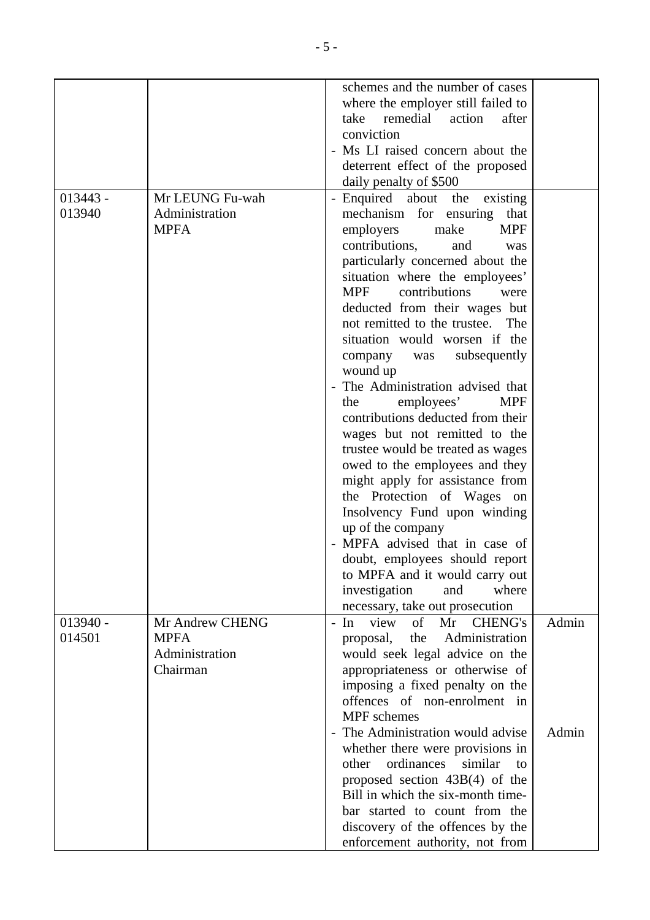|            |                 | schemes and the number of cases                             |       |
|------------|-----------------|-------------------------------------------------------------|-------|
|            |                 | where the employer still failed to                          |       |
|            |                 | remedial<br>action<br>after<br>take                         |       |
|            |                 | conviction                                                  |       |
|            |                 | - Ms LI raised concern about the                            |       |
|            |                 | deterrent effect of the proposed                            |       |
|            |                 | daily penalty of \$500                                      |       |
| $013443 -$ | Mr LEUNG Fu-wah | - Enquired about the existing                               |       |
| 013940     | Administration  | mechanism for ensuring<br>that                              |       |
|            | <b>MPFA</b>     | employers<br><b>MPF</b><br>make                             |       |
|            |                 | contributions,<br>and<br>was                                |       |
|            |                 | particularly concerned about the                            |       |
|            |                 | situation where the employees'                              |       |
|            |                 | <b>MPF</b><br>contributions<br>were                         |       |
|            |                 | deducted from their wages but                               |       |
|            |                 | not remitted to the trustee.<br>The                         |       |
|            |                 | situation would worsen if the                               |       |
|            |                 | subsequently<br>company<br>was                              |       |
|            |                 | wound up                                                    |       |
|            |                 | - The Administration advised that                           |       |
|            |                 | employees'<br><b>MPF</b><br>the                             |       |
|            |                 | contributions deducted from their                           |       |
|            |                 | wages but not remitted to the                               |       |
|            |                 | trustee would be treated as wages                           |       |
|            |                 | owed to the employees and they                              |       |
|            |                 | might apply for assistance from                             |       |
|            |                 | the Protection of Wages<br>on                               |       |
|            |                 | Insolvency Fund upon winding                                |       |
|            |                 | up of the company                                           |       |
|            |                 | - MPFA advised that in case of                              |       |
|            |                 | doubt, employees should report                              |       |
|            |                 | to MPFA and it would carry out                              |       |
|            |                 | investigation<br>and<br>where                               |       |
|            |                 | necessary, take out prosecution                             |       |
| $013940 -$ | Mr Andrew CHENG | view<br>$\sigma$ f<br>Mr<br><b>CHENG's</b><br>$-$ In        | Admin |
| 014501     | <b>MPFA</b>     | the<br>Administration<br>proposal,                          |       |
|            | Administration  | would seek legal advice on the                              |       |
|            | Chairman        | appropriateness or otherwise of                             |       |
|            |                 | imposing a fixed penalty on the                             |       |
|            |                 | offences of non-enrolment in                                |       |
|            |                 | <b>MPF</b> schemes                                          |       |
|            |                 | The Administration would advise<br>$\overline{\phantom{a}}$ | Admin |
|            |                 | whether there were provisions in                            |       |
|            |                 | ordinances<br>similar<br>other<br>$\mathbf{t}$              |       |
|            |                 | proposed section $43B(4)$ of the                            |       |
|            |                 | Bill in which the six-month time-                           |       |
|            |                 | bar started to count from the                               |       |
|            |                 | discovery of the offences by the                            |       |
|            |                 | enforcement authority, not from                             |       |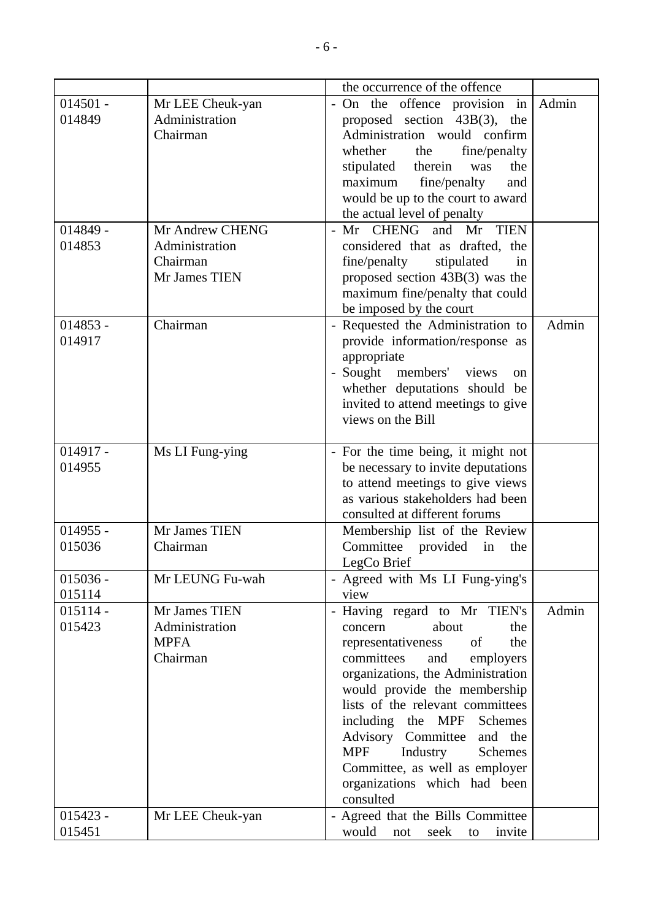|            |                  | the occurrence of the offence                                    |       |
|------------|------------------|------------------------------------------------------------------|-------|
| $014501 -$ | Mr LEE Cheuk-yan | - On the offence provision in                                    | Admin |
| 014849     | Administration   | proposed section $43B(3)$ , the                                  |       |
|            | Chairman         | Administration would confirm                                     |       |
|            |                  | whether<br>the<br>fine/penalty                                   |       |
|            |                  | stipulated therein<br>the<br>was                                 |       |
|            |                  | maximum<br>fine/penalty<br>and                                   |       |
|            |                  | would be up to the court to award                                |       |
|            |                  | the actual level of penalty                                      |       |
| $014849 -$ | Mr Andrew CHENG  | - Mr CHENG and Mr<br><b>TIEN</b>                                 |       |
| 014853     | Administration   | considered that as drafted, the                                  |       |
|            | Chairman         | fine/penalty<br>stipulated<br>in                                 |       |
|            | Mr James TIEN    | proposed section 43B(3) was the                                  |       |
|            |                  | maximum fine/penalty that could                                  |       |
|            |                  | be imposed by the court                                          |       |
| $014853 -$ | Chairman         | - Requested the Administration to                                | Admin |
| 014917     |                  | provide information/response as                                  |       |
|            |                  | appropriate                                                      |       |
|            |                  | - Sought members' views<br><sub>on</sub>                         |       |
|            |                  | whether deputations should be                                    |       |
|            |                  | invited to attend meetings to give                               |       |
|            |                  | views on the Bill                                                |       |
|            |                  |                                                                  |       |
| $014917 -$ | Ms LI Fung-ying  | - For the time being, it might not                               |       |
| 014955     |                  | be necessary to invite deputations                               |       |
|            |                  | to attend meetings to give views                                 |       |
|            |                  | as various stakeholders had been                                 |       |
|            |                  | consulted at different forums                                    |       |
| $014955 -$ | Mr James TIEN    | Membership list of the Review                                    |       |
| 015036     | Chairman         | Committee<br>provided<br>in<br>the                               |       |
|            |                  | LegCo Brief                                                      |       |
| $015036 -$ | Mr LEUNG Fu-wah  | - Agreed with Ms LI Fung-ying's                                  |       |
| 015114     |                  | view                                                             |       |
| $015114 -$ | Mr James TIEN    | - Having regard to Mr TIEN's                                     | Admin |
| 015423     | Administration   | about<br>the<br>concern                                          |       |
|            | <b>MPFA</b>      | representativeness<br>of<br>the                                  |       |
|            | Chairman         | committees<br>and<br>employers                                   |       |
|            |                  | organizations, the Administration                                |       |
|            |                  | would provide the membership<br>lists of the relevant committees |       |
|            |                  |                                                                  |       |
|            |                  | including the MPF Schemes<br>Advisory Committee and the          |       |
|            |                  | <b>MPF</b><br>Industry<br>Schemes                                |       |
|            |                  |                                                                  |       |
|            |                  | Committee, as well as employer<br>organizations which had been   |       |
|            |                  | consulted                                                        |       |
| $015423 -$ | Mr LEE Cheuk-yan | - Agreed that the Bills Committee                                |       |
| 015451     |                  | would<br>invite<br>seek<br>not<br>to                             |       |
|            |                  |                                                                  |       |